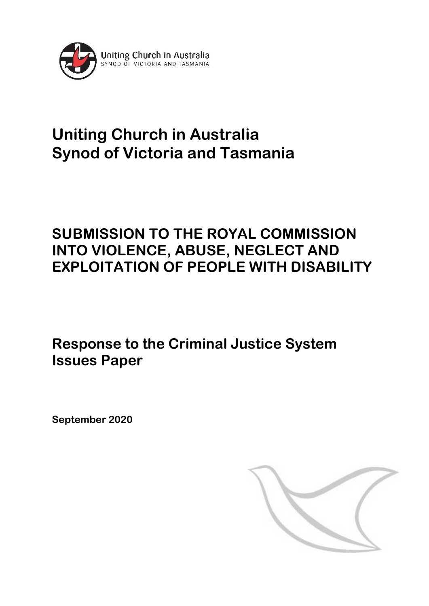

# **Uniting Church in Australia Synod of Victoria and Tasmania**

## **SUBMISSION TO THE ROYAL COMMISSION INTO VIOLENCE, ABUSE, NEGLECT AND EXPLOITATION OF PEOPLE WITH DISABILITY**

**Response to the Criminal Justice System Issues Paper**

**September 2020**

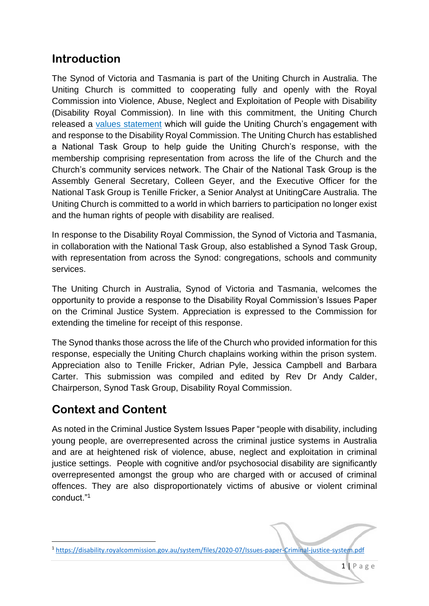### **Introduction**

The Synod of Victoria and Tasmania is part of the Uniting Church in Australia. The Uniting Church is committed to cooperating fully and openly with the Royal Commission into Violence, Abuse, Neglect and Exploitation of People with Disability (Disability Royal Commission). In line with this commitment, the Uniting Church released a [values statement](https://urldefense.com/v3/__https:/aus01.safelinks.protection.outlook.com/?url=https*3A*2F*2Fassembly.uca.org.au*2Fnews*2Fitem*2F3077-uniting-church-values-statement-disability-royal-commission&data=02*7C01*7Calelay*40uniting.org*7Cb99cf6b3ee1d401ae79208d83ab4b88e*7C8884feb704b249a395e5090048d09b04*7C0*7C0*7C637323895163389501&sdata=thVNwHdovXwaHOFluIqOpklgN0tarhU9Hs*2FXeeV6jIw*3D&reserved=0__;JSUlJSUlJSUlJSUlJSUlJQ!!DVrgiXjqvl2yLjg!JQ1KGL1Bd0uzCQNAWp91fQBrM5a9m-GcAVh4prNJPMRCNb6tSPYEvZrqghQm7GdTalBAFi4$) which will guide the Uniting Church's engagement with and response to the Disability Royal Commission. The Uniting Church has established a National Task Group to help guide the Uniting Church's response, with the membership comprising representation from across the life of the Church and the Church's community services network. The Chair of the National Task Group is the Assembly General Secretary, Colleen Geyer, and the Executive Officer for the National Task Group is Tenille Fricker, a Senior Analyst at UnitingCare Australia. The Uniting Church is committed to a world in which barriers to participation no longer exist and the human rights of people with disability are realised.

In response to the Disability Royal Commission, the Synod of Victoria and Tasmania, in collaboration with the National Task Group, also established a Synod Task Group, with representation from across the Synod: congregations, schools and community services.

The Uniting Church in Australia, Synod of Victoria and Tasmania, welcomes the opportunity to provide a response to the Disability Royal Commission's Issues Paper on the Criminal Justice System. Appreciation is expressed to the Commission for extending the timeline for receipt of this response.

The Synod thanks those across the life of the Church who provided information for this response, especially the Uniting Church chaplains working within the prison system. Appreciation also to Tenille Fricker, Adrian Pyle, Jessica Campbell and Barbara Carter. This submission was compiled and edited by Rev Dr Andy Calder, Chairperson, Synod Task Group, Disability Royal Commission.

## **Context and Content**

**.** 

As noted in the Criminal Justice System Issues Paper "people with disability, including young people, are overrepresented across the criminal justice systems in Australia and are at heightened risk of violence, abuse, neglect and exploitation in criminal justice settings. People with cognitive and/or psychosocial disability are significantly overrepresented amongst the group who are charged with or accused of criminal offences. They are also disproportionately victims of abusive or violent criminal conduct."<sup>1</sup>

<sup>1</sup> <https://disability.royalcommission.gov.au/system/files/2020-07/Issues-paper-Criminal-justice-system.pdf>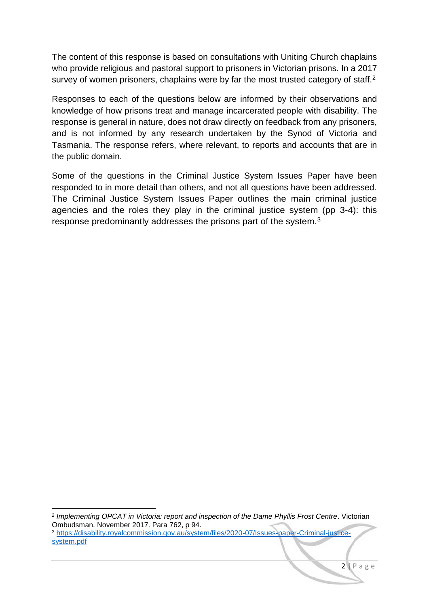The content of this response is based on consultations with Uniting Church chaplains who provide religious and pastoral support to prisoners in Victorian prisons. In a 2017 survey of women prisoners, chaplains were by far the most trusted category of staff.<sup>2</sup>

Responses to each of the questions below are informed by their observations and knowledge of how prisons treat and manage incarcerated people with disability. The response is general in nature, does not draw directly on feedback from any prisoners, and is not informed by any research undertaken by the Synod of Victoria and Tasmania. The response refers, where relevant, to reports and accounts that are in the public domain.

Some of the questions in the Criminal Justice System Issues Paper have been responded to in more detail than others, and not all questions have been addressed. The Criminal Justice System Issues Paper outlines the main criminal justice agencies and the roles they play in the criminal justice system (pp 3-4): this response predominantly addresses the prisons part of the system.<sup>3</sup>

1

<sup>2</sup> *Implementing OPCAT in Victoria: report and inspection of the Dame Phyllis Frost Centre*. Victorian Ombudsman. November 2017. Para 762, p 94. <sup>3</sup> [https://disability.royalcommission.gov.au/system/files/2020-07/Issues-paper-Criminal-justice](https://disability.royalcommission.gov.au/system/files/2020-07/Issues-paper-Criminal-justice-system.pdf)[system.pdf](https://disability.royalcommission.gov.au/system/files/2020-07/Issues-paper-Criminal-justice-system.pdf)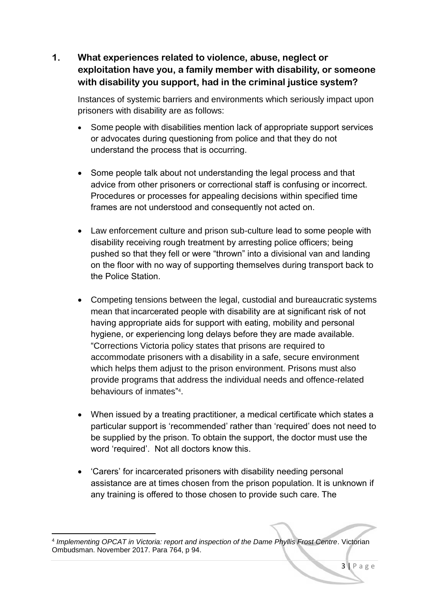**1. What experiences related to violence, abuse, neglect or exploitation have you, a family member with disability, or someone with disability you support, had in the criminal justice system?** 

Instances of systemic barriers and environments which seriously impact upon prisoners with disability are as follows:

- Some people with disabilities mention lack of appropriate support services or advocates during questioning from police and that they do not understand the process that is occurring.
- Some people talk about not understanding the legal process and that advice from other prisoners or correctional staff is confusing or incorrect. Procedures or processes for appealing decisions within specified time frames are not understood and consequently not acted on.
- Law enforcement culture and prison sub-culture lead to some people with disability receiving rough treatment by arresting police officers; being pushed so that they fell or were "thrown" into a divisional van and landing on the floor with no way of supporting themselves during transport back to the Police Station.
- Competing tensions between the legal, custodial and bureaucratic systems mean that incarcerated people with disability are at significant risk of not having appropriate aids for support with eating, mobility and personal hygiene, or experiencing long delays before they are made available. "Corrections Victoria policy states that prisons are required to accommodate prisoners with a disability in a safe, secure environment which helps them adjust to the prison environment. Prisons must also provide programs that address the individual needs and offence-related behaviours of inmates" 4 .
- When issued by a treating practitioner, a medical certificate which states a particular support is 'recommended' rather than 'required' does not need to be supplied by the prison. To obtain the support, the doctor must use the word 'required'. Not all doctors know this.
- 'Carers' for incarcerated prisoners with disability needing personal assistance are at times chosen from the prison population. It is unknown if any training is offered to those chosen to provide such care. The

**<sup>.</sup>** 4 *Implementing OPCAT in Victoria: report and inspection of the Dame Phyllis Frost Centre*. Victorian Ombudsman. November 2017. Para 764, p 94.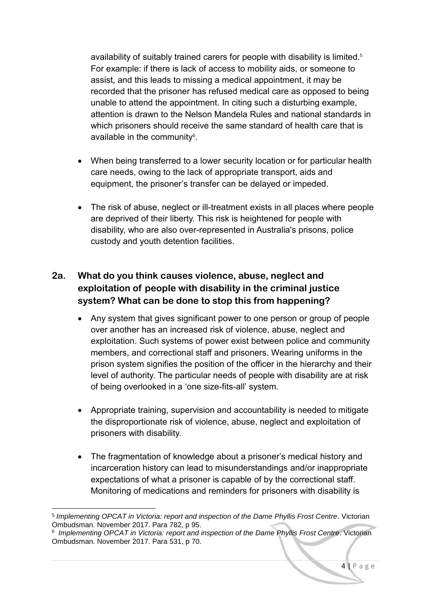availability of suitably trained carers for people with disability is limited.<sup>5</sup> For example: if there is lack of access to mobility aids, or someone to assist, and this leads to missing a medical appointment, it may be recorded that the prisoner has refused medical care as opposed to being unable to attend the appointment. In citing such a disturbing example, attention is drawn to the Nelson Mandela Rules and national standards in which prisoners should receive the same standard of health care that is available in the community<sup>6</sup>.

- When being transferred to a lower security location or for particular health care needs, owing to the lack of appropriate transport, aids and equipment, the prisoner's transfer can be delayed or impeded.
- The risk of abuse, neglect or ill-treatment exists in all places where people are deprived of their liberty. This risk is heightened for people with disability, who are also over-represented in Australia's prisons, police custody and youth detention facilities.

#### **2a. What do you think causes violence, abuse, neglect and exploitation of people with disability in the criminal justice system? What can be done to stop this from happening?**

- Any system that gives significant power to one person or group of people over another has an increased risk of violence, abuse, neglect and exploitation. Such systems of power exist between police and community members, and correctional staff and prisoners. Wearing uniforms in the prison system signifies the position of the officer in the hierarchy and their level of authority. The particular needs of people with disability are at risk of being overlooked in a 'one size-fits-all' system.
- Appropriate training, supervision and accountability is needed to mitigate the disproportionate risk of violence, abuse, neglect and exploitation of prisoners with disability.
- The fragmentation of knowledge about a prisoner's medical history and incarceration history can lead to misunderstandings and/or inappropriate expectations of what a prisoner is capable of by the correctional staff. Monitoring of medications and reminders for prisoners with disability is

1

<sup>5</sup> *Implementing OPCAT in Victoria: report and inspection of the Dame Phyllis Frost Centre*. Victorian Ombudsman. November 2017. Para 782, p 95.

<sup>6</sup> *Implementing OPCAT in Victoria: report and inspection of the Dame Phyllis Frost Centre*. Victorian Ombudsman. November 2017. Para 531, p 70.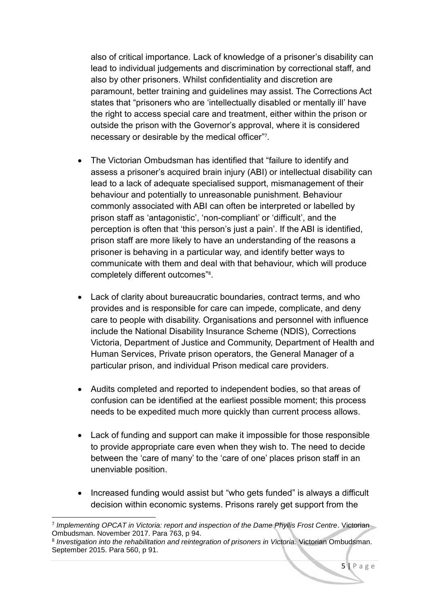also of critical importance. Lack of knowledge of a prisoner's disability can lead to individual judgements and discrimination by correctional staff, and also by other prisoners. Whilst confidentiality and discretion are paramount, better training and guidelines may assist. The Corrections Act states that "prisoners who are 'intellectually disabled or mentally ill' have the right to access special care and treatment, either within the prison or outside the prison with the Governor's approval, where it is considered necessary or desirable by the medical officer" 7 .

- The Victorian Ombudsman has identified that "failure to identify and assess a prisoner's acquired brain injury (ABI) or intellectual disability can lead to a lack of adequate specialised support, mismanagement of their behaviour and potentially to unreasonable punishment. Behaviour commonly associated with ABI can often be interpreted or labelled by prison staff as 'antagonistic', 'non-compliant' or 'difficult', and the perception is often that 'this person's just a pain'. If the ABI is identified, prison staff are more likely to have an understanding of the reasons a prisoner is behaving in a particular way, and identify better ways to communicate with them and deal with that behaviour, which will produce completely different outcomes"<sup>8</sup>.
- Lack of clarity about bureaucratic boundaries, contract terms, and who provides and is responsible for care can impede, complicate, and deny care to people with disability. Organisations and personnel with influence include the National Disability Insurance Scheme (NDIS), Corrections Victoria, Department of Justice and Community, Department of Health and Human Services, Private prison operators, the General Manager of a particular prison, and individual Prison medical care providers.
- Audits completed and reported to independent bodies, so that areas of confusion can be identified at the earliest possible moment; this process needs to be expedited much more quickly than current process allows.
- Lack of funding and support can make it impossible for those responsible to provide appropriate care even when they wish to. The need to decide between the 'care of many' to the 'care of one' places prison staff in an unenviable position.
- Increased funding would assist but "who gets funded" is always a difficult decision within economic systems. Prisons rarely get support from the

**<sup>.</sup>** 7 *Implementing OPCAT in Victoria: report and inspection of the Dame Phyllis Frost Centre*. Victorian Ombudsman. November 2017. Para 763, p 94.

<sup>8</sup> *Investigation into the rehabilitation and reintegration of prisoners in Victoria.* Victorian Ombudsman. September 2015. Para 560, p 91.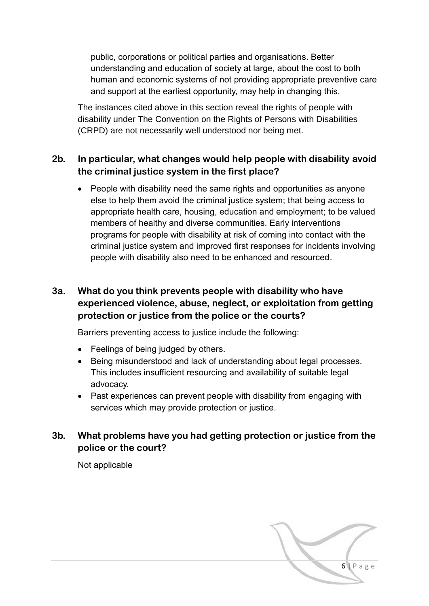public, corporations or political parties and organisations. Better understanding and education of society at large, about the cost to both human and economic systems of not providing appropriate preventive care and support at the earliest opportunity, may help in changing this.

The instances cited above in this section reveal the rights of people with disability under The Convention on the Rights of Persons with Disabilities (CRPD) are not necessarily well understood nor being met.

#### **2b. In particular, what changes would help people with disability avoid the criminal justice system in the first place?**

• People with disability need the same rights and opportunities as anyone else to help them avoid the criminal justice system; that being access to appropriate health care, housing, education and employment; to be valued members of healthy and diverse communities. Early interventions programs for people with disability at risk of coming into contact with the criminal justice system and improved first responses for incidents involving people with disability also need to be enhanced and resourced.

#### **3a. What do you think prevents people with disability who have experienced violence, abuse, neglect, or exploitation from getting protection or justice from the police or the courts?**

Barriers preventing access to justice include the following:

- Feelings of being judged by others.
- Being misunderstood and lack of understanding about legal processes. This includes insufficient resourcing and availability of suitable legal advocacy.
- Past experiences can prevent people with disability from engaging with services which may provide protection or justice.

#### **3b. What problems have you had getting protection or justice from the police or the court?**

Not applicable

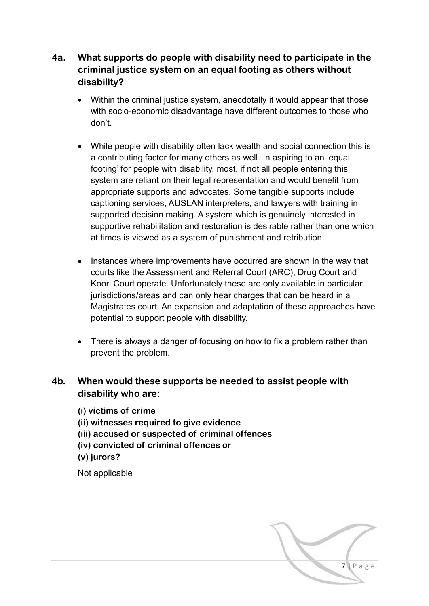#### **4a. What supports do people with disability need to participate in the criminal justice system on an equal footing as others without disability?**

- Within the criminal justice system, anecdotally it would appear that those with socio-economic disadvantage have different outcomes to those who don't.
- While people with disability often lack wealth and social connection this is a contributing factor for many others as well. In aspiring to an 'equal footing' for people with disability, most, if not all people entering this system are reliant on their legal representation and would benefit from appropriate supports and advocates. Some tangible supports include captioning services, AUSLAN interpreters, and lawyers with training in supported decision making. A system which is genuinely interested in supportive rehabilitation and restoration is desirable rather than one which at times is viewed as a system of punishment and retribution.
- Instances where improvements have occurred are shown in the way that courts like the Assessment and Referral Court (ARC), Drug Court and Koori Court operate. Unfortunately these are only available in particular jurisdictions/areas and can only hear charges that can be heard in a Magistrates court. An expansion and adaptation of these approaches have potential to support people with disability.
- There is always a danger of focusing on how to fix a problem rather than prevent the problem.

#### **4b. When would these supports be needed to assist people with disability who are:**

**(i) victims of crime**

- **(ii) witnesses required to give evidence**
- **(iii) accused or suspected of criminal offences**
- **(iv) convicted of criminal offences or**
- **(v) jurors?**

Not applicable

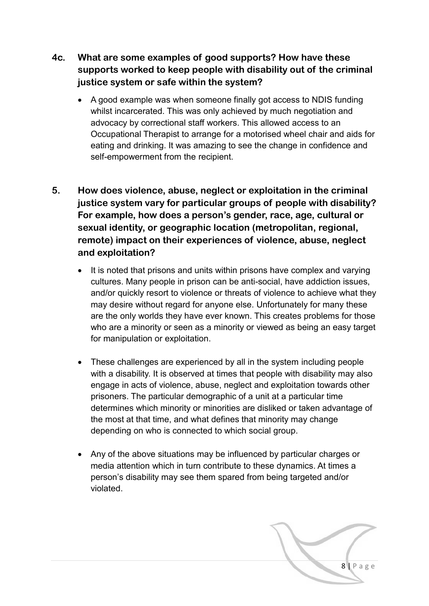- **4c. What are some examples of good supports? How have these supports worked to keep people with disability out of the criminal justice system or safe within the system?**
	- A good example was when someone finally got access to NDIS funding whilst incarcerated. This was only achieved by much negotiation and advocacy by correctional staff workers. This allowed access to an Occupational Therapist to arrange for a motorised wheel chair and aids for eating and drinking. It was amazing to see the change in confidence and self-empowerment from the recipient.
- **5. How does violence, abuse, neglect or exploitation in the criminal justice system vary for particular groups of people with disability? For example, how does a person's gender, race, age, cultural or sexual identity, or geographic location (metropolitan, regional, remote) impact on their experiences of violence, abuse, neglect and exploitation?** 
	- It is noted that prisons and units within prisons have complex and varying cultures. Many people in prison can be anti-social, have addiction issues, and/or quickly resort to violence or threats of violence to achieve what they may desire without regard for anyone else. Unfortunately for many these are the only worlds they have ever known. This creates problems for those who are a minority or seen as a minority or viewed as being an easy target for manipulation or exploitation.
	- These challenges are experienced by all in the system including people with a disability. It is observed at times that people with disability may also engage in acts of violence, abuse, neglect and exploitation towards other prisoners. The particular demographic of a unit at a particular time determines which minority or minorities are disliked or taken advantage of the most at that time, and what defines that minority may change depending on who is connected to which social group.
	- Any of the above situations may be influenced by particular charges or media attention which in turn contribute to these dynamics. At times a person's disability may see them spared from being targeted and/or violated.

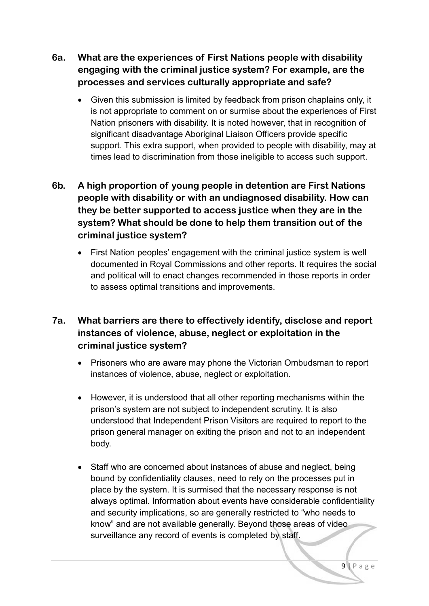- **6a. What are the experiences of First Nations people with disability engaging with the criminal justice system? For example, are the processes and services culturally appropriate and safe?**
	- Given this submission is limited by feedback from prison chaplains only, it is not appropriate to comment on or surmise about the experiences of First Nation prisoners with disability. It is noted however, that in recognition of significant disadvantage Aboriginal Liaison Officers provide specific support. This extra support, when provided to people with disability, may at times lead to discrimination from those ineligible to access such support.

#### **6b. A high proportion of young people in detention are First Nations people with disability or with an undiagnosed disability. How can they be better supported to access justice when they are in the system? What should be done to help them transition out of the criminal justice system?**

 First Nation peoples' engagement with the criminal justice system is well documented in Royal Commissions and other reports. It requires the social and political will to enact changes recommended in those reports in order to assess optimal transitions and improvements.

#### **7a. What barriers are there to effectively identify, disclose and report instances of violence, abuse, neglect or exploitation in the criminal justice system?**

- Prisoners who are aware may phone the Victorian Ombudsman to report instances of violence, abuse, neglect or exploitation.
- However, it is understood that all other reporting mechanisms within the prison's system are not subject to independent scrutiny. It is also understood that Independent Prison Visitors are required to report to the prison general manager on exiting the prison and not to an independent body.
- Staff who are concerned about instances of abuse and neglect, being bound by confidentiality clauses, need to rely on the processes put in place by the system. It is surmised that the necessary response is not always optimal. Information about events have considerable confidentiality and security implications, so are generally restricted to "who needs to know" and are not available generally. Beyond those areas of video surveillance any record of events is completed by staff.